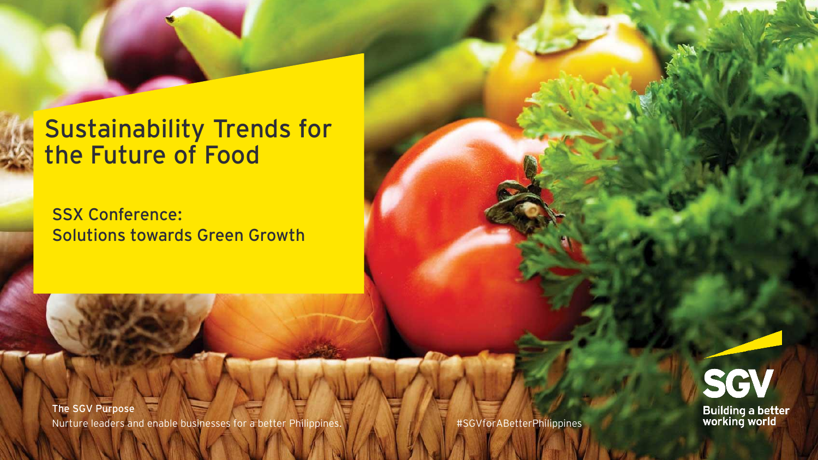## **Sustainability Trends for the Future of Food**

SSX Conference: Solutions towards Green Growth

The SGV Purpose Nurture leaders and enable businesses for a better Philippines. **#SGVforABetterPhilippines** 

SGV Building a better<br>working world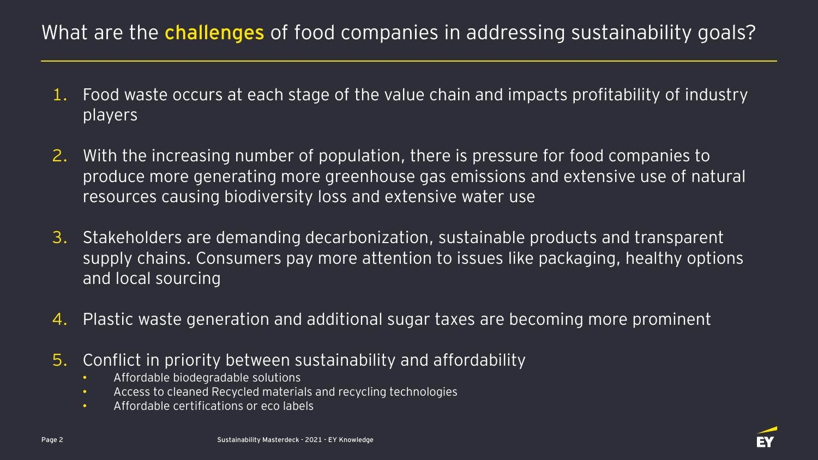## What are the **challenges** of food companies in addressing sustainability goals?

- 1. Food waste occurs at each stage of the value chain and impacts profitability of industry players
- 2. With the increasing number of population, there is pressure for food companies to produce more generating more greenhouse gas emissions and extensive use of natural resources causing biodiversity loss and extensive water use
- 3. Stakeholders are demanding decarbonization, sustainable products and transparent supply chains. Consumers pay more attention to issues like packaging, healthy options and local sourcing
- 4. Plastic waste generation and additional sugar taxes are becoming more prominent
- 5. Conflict in priority between sustainability and affordability
	- Affordable biodegradable solutions
	- Access to cleaned Recycled materials and recycling technologies
	- Affordable certifications or eco labels